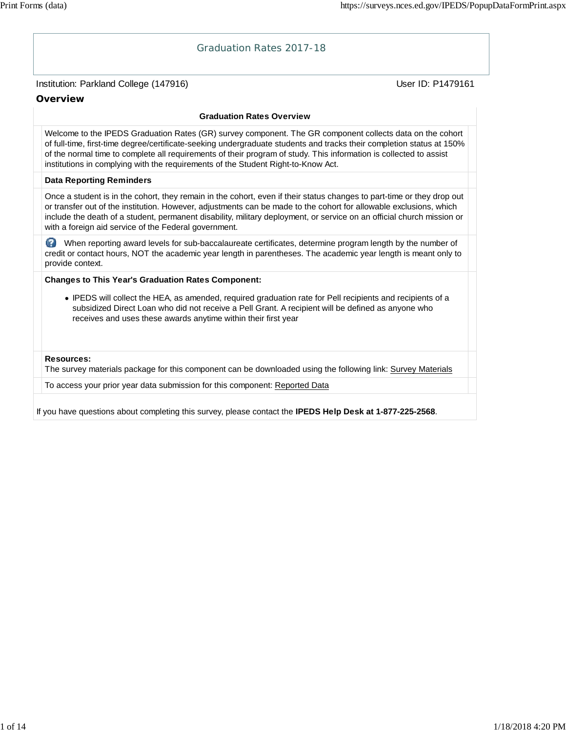# Institution: Parkland College (147916) November 2012 12: Physics User ID: P1479161 Graduation Rates 2017-18 **Overview Graduation Rates Overview** Welcome to the IPEDS Graduation Rates (GR) survey component. The GR component collects data on the cohort of full-time, first-time degree/certificate-seeking undergraduate students and tracks their completion status at 150% of the normal time to complete all requirements of their program of study. This information is collected to assist institutions in complying with the requirements of the Student Right-to-Know Act. **Data Reporting Reminders** Once a student is in the cohort, they remain in the cohort, even if their status changes to part-time or they drop out or transfer out of the institution. However, adjustments can be made to the cohort for allowable exclusions, which include the death of a student, permanent disability, military deployment, or service on an official church mission or with a foreign aid service of the Federal government. When reporting award levels for sub-baccalaureate certificates, determine program length by the number of credit or contact hours, NOT the academic year length in parentheses. The academic year length is meant only to provide context. **Changes to This Year's Graduation Rates Component:** IPEDS will collect the HEA, as amended, required graduation rate for Pell recipients and recipients of a subsidized Direct Loan who did not receive a Pell Grant. A recipient will be defined as anyone who receives and uses these awards anytime within their first year **Resources:** The survey materials package for this component can be downloaded using the following link: Survey Materials To access your prior year data submission for this component: Reported Data If you have questions about completing this survey, please contact the **IPEDS Help Desk at 1-877-225-2568**.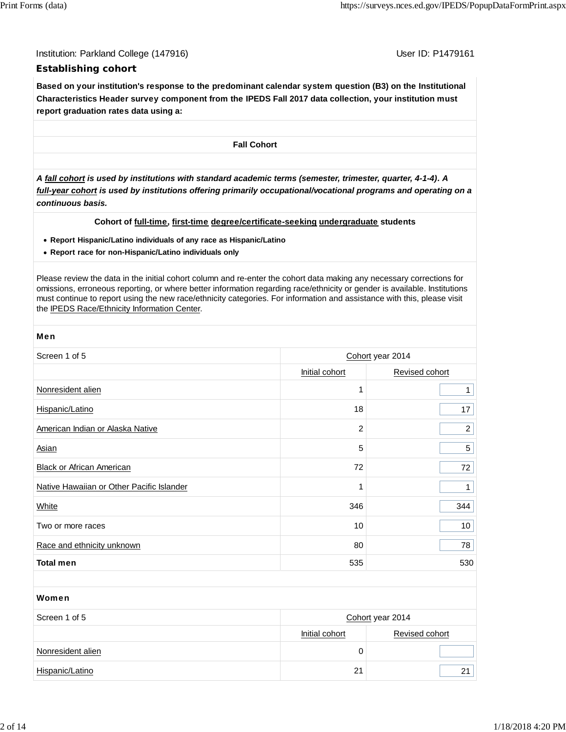Institution: Parkland College (147916) November 2012 12: P1479161

## **Establishing cohort**

**Based on your institution's response to the predominant calendar system question (B3) on the Institutional Characteristics Header survey component from the IPEDS Fall 2017 data collection, your institution must report graduation rates data using a:**

**Fall Cohort**

*A fall cohort is used by institutions with standard academic terms (semester, trimester, quarter, 4-1-4). A full-year cohort is used by institutions offering primarily occupational/vocational programs and operating on a continuous basis.*

### **Cohort of full-time, first-time degree/certificate-seeking undergraduate students**

- **Report Hispanic/Latino individuals of any race as Hispanic/Latino**
- **Report race for non-Hispanic/Latino individuals only**

Please review the data in the initial cohort column and re-enter the cohort data making any necessary corrections for omissions, erroneous reporting, or where better information regarding race/ethnicity or gender is available. Institutions must continue to report using the new race/ethnicity categories. For information and assistance with this, please visit the IPEDS Race/Ethnicity Information Center.

| <b>Men</b>                                |                  |                  |  |  |
|-------------------------------------------|------------------|------------------|--|--|
| Screen 1 of 5                             | Cohort year 2014 |                  |  |  |
|                                           | Initial cohort   | Revised cohort   |  |  |
| Nonresident alien                         | 1                | $\mathbf{1}$     |  |  |
| Hispanic/Latino                           | 18               | 17               |  |  |
| American Indian or Alaska Native          | 2                | $\overline{a}$   |  |  |
| <b>Asian</b>                              | 5                | 5                |  |  |
| <b>Black or African American</b>          | 72               | 72               |  |  |
| Native Hawaiian or Other Pacific Islander | 1                | $\mathbf{1}$     |  |  |
| White                                     | 346              | 344              |  |  |
| Two or more races                         | 10               | 10 <sub>1</sub>  |  |  |
| Race and ethnicity unknown                | 80               | 78               |  |  |
| <b>Total men</b>                          | 535              | 530              |  |  |
|                                           |                  |                  |  |  |
| Women                                     |                  |                  |  |  |
| Screen 1 of 5                             |                  | Cohort year 2014 |  |  |
|                                           | Initial cohort   | Revised cohort   |  |  |

Hispanic/Latino 21 21

Nonresident alien 0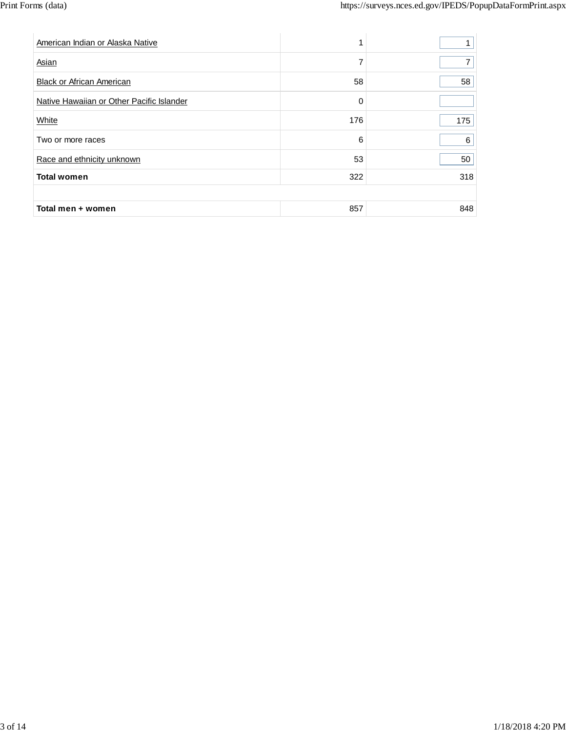| American Indian or Alaska Native          |     |     |
|-------------------------------------------|-----|-----|
| Asian                                     | 7   |     |
| <b>Black or African American</b>          | 58  | 58  |
| Native Hawaiian or Other Pacific Islander | 0   |     |
| White                                     | 176 | 175 |
| Two or more races                         | 6   | 6   |
| Race and ethnicity unknown                | 53  | 50  |
| <b>Total women</b>                        | 322 | 318 |
|                                           |     |     |
| Total men + women                         | 857 | 848 |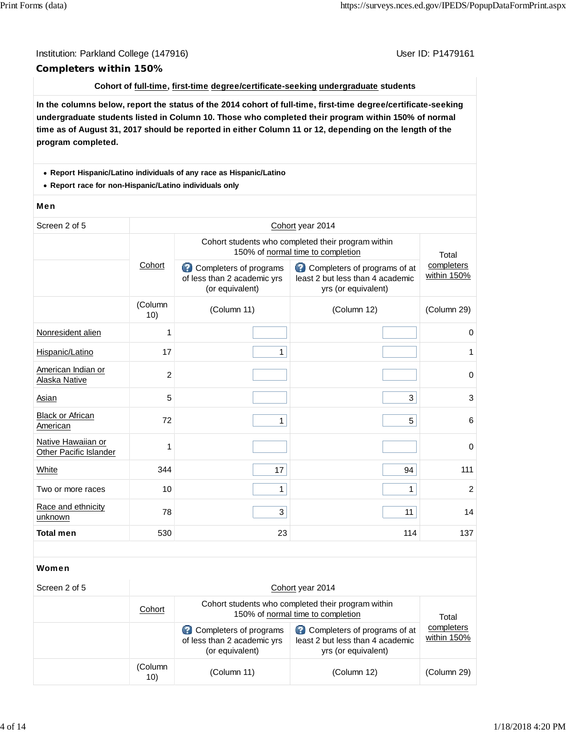## Institution: Parkland College (147916) November 2012 12: P1479161 **Completers within 150%**

### **Cohort of full-time, first-time degree/certificate-seeking undergraduate students**

**In the columns below, report the status of the 2014 cohort of full-time, first-time degree/certificate-seeking undergraduate students listed in Column 10. Those who completed their program within 150% of normal time as of August 31, 2017 should be reported in either Column 11 or 12, depending on the length of the program completed.**

#### **Report Hispanic/Latino individuals of any race as Hispanic/Latino**

**Report race for non-Hispanic/Latino individuals only**

#### Men

| Screen 2 of 5                                | Cohort year 2014 |                                                                                         |                                                                                         |                           |  |  |
|----------------------------------------------|------------------|-----------------------------------------------------------------------------------------|-----------------------------------------------------------------------------------------|---------------------------|--|--|
|                                              |                  | Cohort students who completed their program within<br>150% of normal time to completion | Total                                                                                   |                           |  |  |
|                                              | Cohort           | Completers of programs<br>B<br>of less than 2 academic yrs<br>(or equivalent)           | Completers of programs of at<br>least 2 but less than 4 academic<br>yrs (or equivalent) | completers<br>within 150% |  |  |
|                                              | (Column<br>10)   | (Column 11)                                                                             | (Column 12)                                                                             | (Column 29)               |  |  |
| Nonresident alien                            | 1                |                                                                                         |                                                                                         | $\mathbf 0$               |  |  |
| Hispanic/Latino                              | 17               | $\mathbf{1}$                                                                            |                                                                                         | 1                         |  |  |
| American Indian or<br>Alaska Native          | $\overline{c}$   |                                                                                         |                                                                                         | $\mathbf 0$               |  |  |
| Asian                                        | 5                |                                                                                         | 3                                                                                       | 3                         |  |  |
| <b>Black or African</b><br>American          | 72               | $\mathbf{1}$                                                                            | 5                                                                                       | 6                         |  |  |
| Native Hawaiian or<br>Other Pacific Islander | 1                |                                                                                         |                                                                                         | $\mathbf 0$               |  |  |
| White                                        | 344              | 17                                                                                      | 94                                                                                      | 111                       |  |  |
| Two or more races                            | 10               | $\mathbf{1}$                                                                            | $\mathbf{1}$                                                                            | $\overline{2}$            |  |  |
| Race and ethnicity<br>unknown                | 78               | $\mathbf{3}$                                                                            | 11                                                                                      | 14                        |  |  |
| <b>Total men</b>                             | 530              | 23                                                                                      | 114                                                                                     | 137                       |  |  |
|                                              |                  |                                                                                         |                                                                                         |                           |  |  |
| Women                                        |                  |                                                                                         |                                                                                         |                           |  |  |
| Screen 2 of 5                                |                  |                                                                                         | Cohort year 2014                                                                        |                           |  |  |
|                                              |                  |                                                                                         | Calcant attrainment critical approximation in the species criticise                     |                           |  |  |

| Cohort         | Cohort students who completed their program within<br>150% of normal time to completion | Total                                                                                   |                           |  |
|----------------|-----------------------------------------------------------------------------------------|-----------------------------------------------------------------------------------------|---------------------------|--|
|                | Completers of programs<br>of less than 2 academic yrs<br>(or equivalent)                | Completers of programs of at<br>least 2 but less than 4 academic<br>yrs (or equivalent) | completers<br>within 150% |  |
| (Column<br>10) | (Column 11)                                                                             | (Column 12)                                                                             | (Column 29)               |  |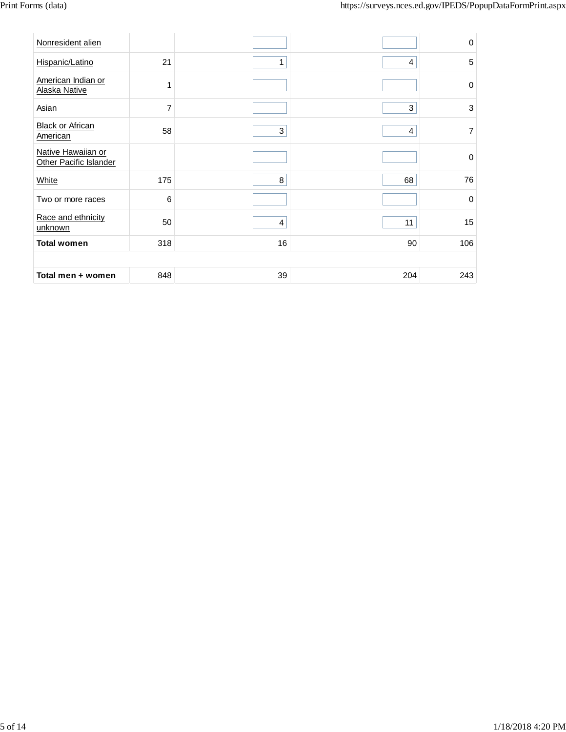| Nonresident alien                                   |                |                |     | $\mathbf 0$    |
|-----------------------------------------------------|----------------|----------------|-----|----------------|
| Hispanic/Latino                                     | 21             | 1              | 4   | 5              |
| American Indian or<br>Alaska Native                 | 1              |                |     | $\mathbf 0$    |
| <b>Asian</b>                                        | $\overline{7}$ |                | 3   | 3              |
| <b>Black or African</b><br>American                 | 58             | $\mathbf{3}$   | 4   | $\overline{7}$ |
| Native Hawaiian or<br><b>Other Pacific Islander</b> |                |                |     | $\mathbf 0$    |
| White                                               | 175            | 8              | 68  | 76             |
| Two or more races                                   | 6              |                |     | $\mathbf 0$    |
| Race and ethnicity<br>unknown                       | 50             | $\overline{4}$ | 11  | 15             |
| <b>Total women</b>                                  | 318            | 16             | 90  | 106            |
|                                                     |                |                |     |                |
| Total men + women                                   | 848            | 39             | 204 | 243            |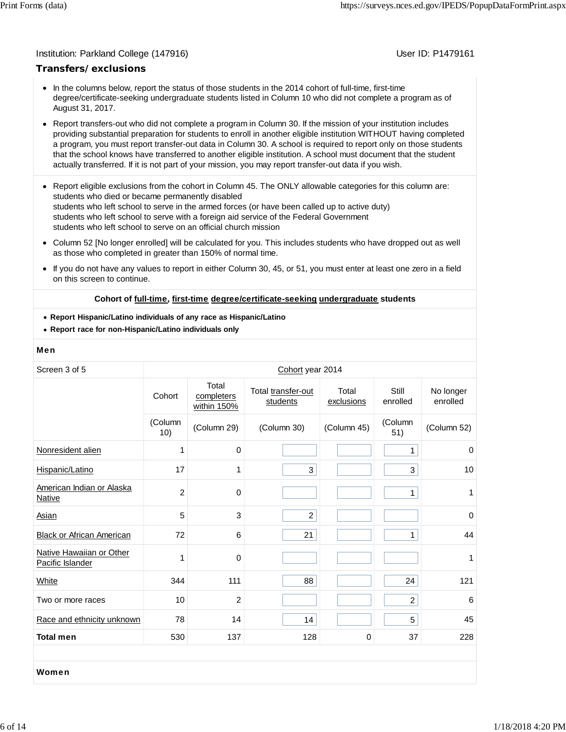### Institution: Parkland College (147916) November 2012 12: P1479161

## **Transfers/exclusions**

- In the columns below, report the status of those students in the 2014 cohort of full-time, first-time degree/certificate-seeking undergraduate students listed in Column 10 who did not complete a program as of August 31, 2017.
- Report transfers-out who did not complete a program in Column 30. If the mission of your institution includes providing substantial preparation for students to enroll in another eligible institution WITHOUT having completed a program, you must report transfer-out data in Column 30. A school is required to report only on those students that the school knows have transferred to another eligible institution. A school must document that the student actually transferred. If it is not part of your mission, you may report transfer-out data if you wish.
- Report eligible exclusions from the cohort in Column 45. The ONLY allowable categories for this column are: students who died or became permanently disabled students who left school to serve in the armed forces (or have been called up to active duty) students who left school to serve with a foreign aid service of the Federal Government students who left school to serve on an official church mission
- Column 52 [No longer enrolled] will be calculated for you. This includes students who have dropped out as well as those who completed in greater than 150% of normal time.
- $\bullet$ If you do not have any values to report in either Column 30, 45, or 51, you must enter at least one zero in a field on this screen to continue.

#### **Cohort of full-time, first-time degree/certificate-seeking undergraduate students**

- **Report Hispanic/Latino individuals of any race as Hispanic/Latino**
- **Report race for non-Hispanic/Latino individuals only**

#### Men

| Screen 3 of 5                                |                |                                    | Cohort year 2014               |                     |                   |                       |
|----------------------------------------------|----------------|------------------------------------|--------------------------------|---------------------|-------------------|-----------------------|
|                                              | Cohort         | Total<br>completers<br>within 150% | Total transfer-out<br>students | Total<br>exclusions | Still<br>enrolled | No longer<br>enrolled |
|                                              | (Column<br>10) | (Column 29)                        | (Column 30)                    | (Column 45)         | (Column<br>51)    | (Column 52)           |
| Nonresident alien                            | 1              | 0                                  |                                |                     | $\mathbf{1}$      | 0                     |
| Hispanic/Latino                              | 17             | 1                                  | 3                              |                     | 3                 | 10                    |
| American Indian or Alaska<br>Native          | $\overline{c}$ | 0                                  |                                |                     | $\mathbf{1}$      | 1                     |
| Asian                                        | 5              | 3                                  | $\overline{2}$                 |                     |                   | $\mathbf 0$           |
| <b>Black or African American</b>             | 72             | 6                                  | 21                             |                     | $\mathbf{1}$      | 44                    |
| Native Hawaiian or Other<br>Pacific Islander | 1              | 0                                  |                                |                     |                   | 1                     |
| White                                        | 344            | 111                                | 88                             |                     | 24                | 121                   |
| Two or more races                            | 10             | $\overline{2}$                     |                                |                     | $\overline{2}$    | 6                     |
| Race and ethnicity unknown                   | 78             | 14                                 | 14                             |                     | 5                 | 45                    |
| <b>Total men</b>                             | 530            | 137                                | 128                            | $\pmb{0}$           | 37                | 228                   |
|                                              |                |                                    |                                |                     |                   |                       |
| Women                                        |                |                                    |                                |                     |                   |                       |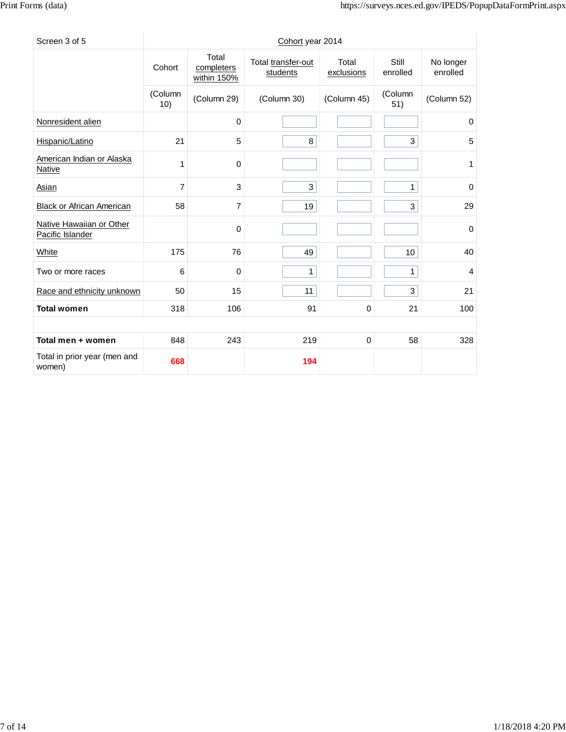| Screen 3 of 5                                |                |                                    | Cohort year 2014               |                     |                   |                       |
|----------------------------------------------|----------------|------------------------------------|--------------------------------|---------------------|-------------------|-----------------------|
|                                              | Cohort         | Total<br>completers<br>within 150% | Total transfer-out<br>students | Total<br>exclusions | Still<br>enrolled | No longer<br>enrolled |
|                                              | (Column<br>10) | (Column 29)                        | (Column 30)                    | (Column 45)         |                   | (Column 52)           |
| Nonresident alien                            |                | $\mathbf 0$                        |                                |                     |                   | 0                     |
| Hispanic/Latino                              | 21             | 5                                  | 8                              |                     | 3                 | 5                     |
| American Indian or Alaska<br>Native          | 1              | $\mathbf 0$                        |                                |                     |                   | 1                     |
| <b>Asian</b>                                 | $\overline{7}$ | 3                                  | 3                              |                     | 1                 | $\Omega$              |
| <b>Black or African American</b>             | 58             | 7                                  | 19                             |                     | 3                 | 29                    |
| Native Hawaiian or Other<br>Pacific Islander |                | $\mathbf 0$                        |                                |                     |                   | 0                     |
| White                                        | 175            | 76                                 | 49                             |                     | 10                | 40                    |
| Two or more races                            | 6              | 0                                  | $\mathbf{1}$                   |                     | 1                 | 4                     |
| Race and ethnicity unknown                   | 50             | 15                                 | 11                             |                     | 3                 | 21                    |
| <b>Total women</b>                           | 318            | 106                                | 91                             | 0                   | 21                | 100                   |
|                                              |                |                                    |                                |                     |                   |                       |
| Total men + women                            | 848            | 243                                | 219                            | $\mathbf 0$         | 58                | 328                   |
| Total in prior year (men and<br>women)       | 668            |                                    | 194                            |                     |                   |                       |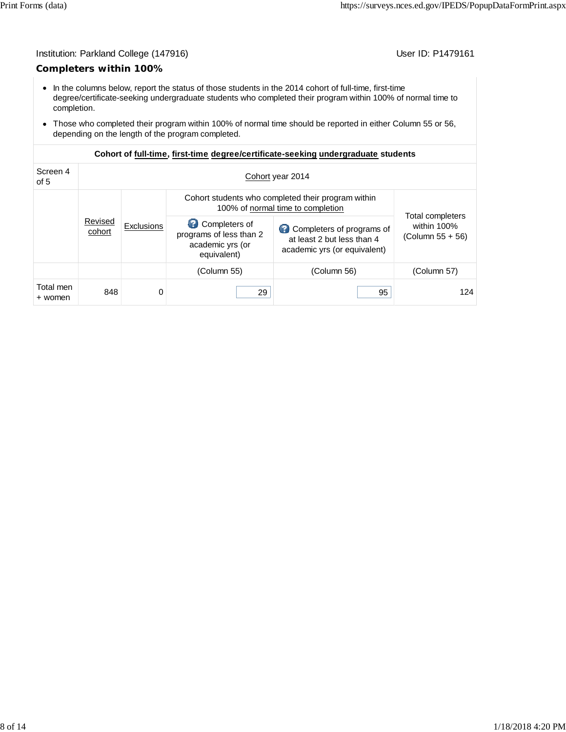## Institution: Parkland College (147916) Contract College (147916)

## **Completers within 100%**

- In the columns below, report the status of those students in the 2014 cohort of full-time, first-time degree/certificate-seeking undergraduate students who completed their program within 100% of normal time to completion.
- Those who completed their program within 100% of normal time should be reported in either Column 55 or 56, depending on the length of the program completed.

| Screen 4<br>of 5                |     | Cohort year 2014                                                                        |                                                                                         |                                                     |             |  |  |  |  |
|---------------------------------|-----|-----------------------------------------------------------------------------------------|-----------------------------------------------------------------------------------------|-----------------------------------------------------|-------------|--|--|--|--|
|                                 |     | Cohort students who completed their program within<br>100% of normal time to completion |                                                                                         |                                                     |             |  |  |  |  |
| Revised<br>Exclusions<br>cohort |     | Completers of<br>programs of less than 2<br>academic yrs (or<br>equivalent)             | Completers of programs of<br>at least 2 but less than 4<br>academic yrs (or equivalent) | Total completers<br>within 100%<br>(Column 55 + 56) |             |  |  |  |  |
|                                 |     |                                                                                         | (Column 55)                                                                             | (Column 56)                                         | (Column 57) |  |  |  |  |
| Total men<br>+ women            | 848 | 0                                                                                       | 29                                                                                      | 95                                                  | 124         |  |  |  |  |

## **Cohort of full-time, first-time degree/certificate-seeking undergraduate students**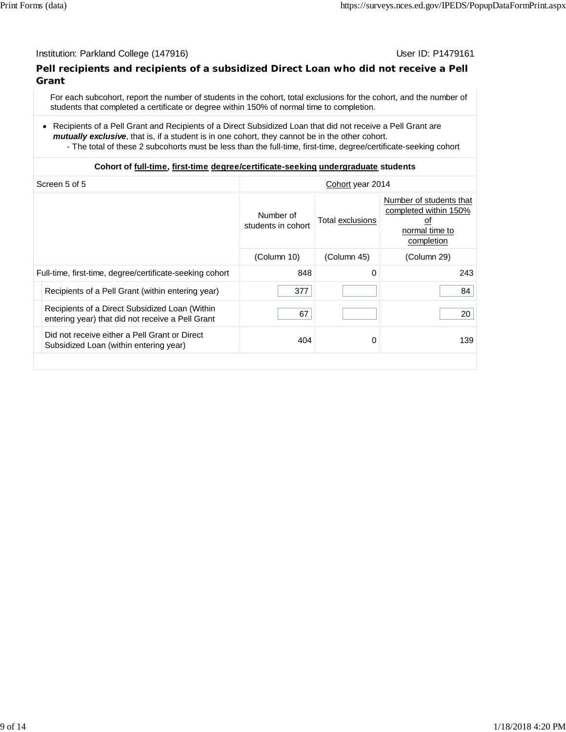## Institution: Parkland College (147916) November 2012 12: P1479161

## **Pell recipients and recipients of a subsidized Direct Loan who did not receive a Pell Grant**

For each subcohort, report the number of students in the cohort, total exclusions for the cohort, and the number of students that completed a certificate or degree within 150% of normal time to completion.

Recipients of a Pell Grant and Recipients of a Direct Subsidized Loan that did not receive a Pell Grant are *mutually exclusive*, that is, if a student is in one cohort, they cannot be in the other cohort.

- The total of these 2 subcohorts must be less than the full-time, first-time, degree/certificate-seeking cohort

## **Cohort of full-time, first-time degree/certificate-seeking undergraduate students**

| Screen 5 of 5                                                                                      | Cohort year 2014                |                         |                                                                                        |
|----------------------------------------------------------------------------------------------------|---------------------------------|-------------------------|----------------------------------------------------------------------------------------|
|                                                                                                    | Number of<br>students in cohort | <b>Total exclusions</b> | Number of students that<br>completed within 150%<br>οt<br>normal time to<br>completion |
|                                                                                                    | (Column 10)                     | (Column 45)             | (Column 29)                                                                            |
| Full-time, first-time, degree/certificate-seeking cohort                                           | 848                             | 0                       | 243                                                                                    |
| Recipients of a Pell Grant (within entering year)                                                  | 377                             |                         | 84                                                                                     |
| Recipients of a Direct Subsidized Loan (Within<br>entering year) that did not receive a Pell Grant | 67                              |                         | 20                                                                                     |
| Did not receive either a Pell Grant or Direct<br>Subsidized Loan (within entering year)            | 404                             | 0                       | 139                                                                                    |
|                                                                                                    |                                 |                         |                                                                                        |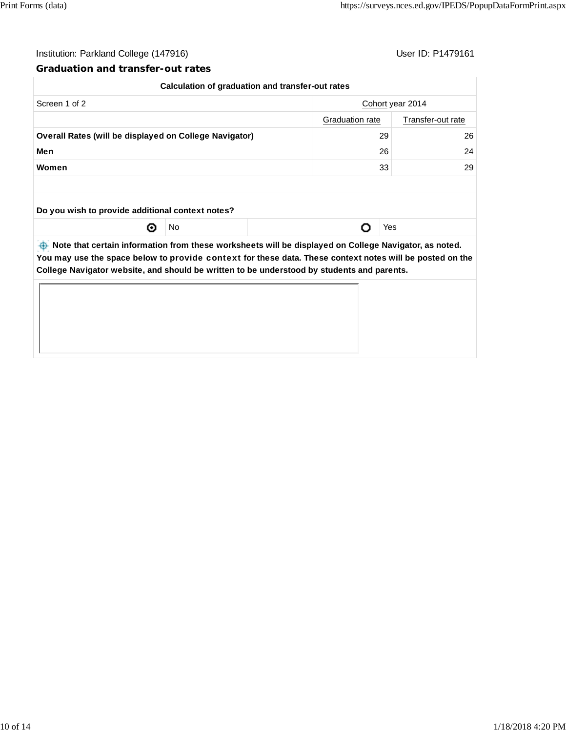$\begin{array}{c} \hline \end{array}$ 

## Institution: Parkland College (147916) Contract College (147916)

## **Graduation and transfer-out rates**

|                                                               |    | Calculation of graduation and transfer-out rates                                                     |                   |
|---------------------------------------------------------------|----|------------------------------------------------------------------------------------------------------|-------------------|
| Screen 1 of 2                                                 |    |                                                                                                      | Cohort year 2014  |
|                                                               |    | Graduation rate                                                                                      | Transfer-out rate |
| <b>Overall Rates (will be displayed on College Navigator)</b> | 29 | 26                                                                                                   |                   |
| Men                                                           |    | 26                                                                                                   | 24                |
| Women                                                         |    | 33                                                                                                   | 29                |
|                                                               |    |                                                                                                      |                   |
| Do you wish to provide additional context notes?              |    |                                                                                                      |                   |
| ⊙                                                             | No |                                                                                                      | Yes               |
|                                                               |    | bota that cartain information from those worksheets will be displayed on College Navigator, as noted |                   |

*A* **Note that certain information from these worksheets will be displayed on College Navigator, as noted. You may use the space below to** provide context **for these data. These context notes will be posted on the College Navigator website, and should be written to be understood by students and parents.**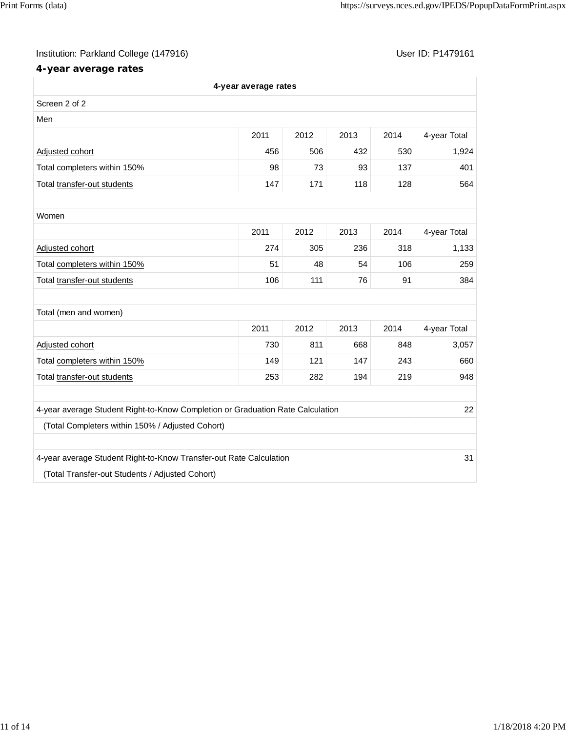## Institution: Parkland College (147916) Contract College (147916)

## **4-year average rates**

|                                                                                | 4-year average rates |      |      |      |              |
|--------------------------------------------------------------------------------|----------------------|------|------|------|--------------|
| Screen 2 of 2                                                                  |                      |      |      |      |              |
| Men                                                                            |                      |      |      |      |              |
|                                                                                | 2011                 | 2012 | 2013 | 2014 | 4-year Total |
| Adjusted cohort                                                                | 456                  | 506  | 432  | 530  | 1,924        |
| Total completers within 150%                                                   | 98                   | 73   | 93   | 137  | 401          |
| Total transfer-out students                                                    | 147                  | 171  | 118  | 128  | 564          |
|                                                                                |                      |      |      |      |              |
| Women                                                                          |                      |      |      |      |              |
|                                                                                | 2011                 | 2012 | 2013 | 2014 | 4-year Total |
| Adjusted cohort                                                                | 274                  | 305  | 236  | 318  | 1,133        |
| Total completers within 150%                                                   | 51                   | 48   | 54   | 106  | 259          |
| Total transfer-out students                                                    | 106                  | 111  | 76   | 91   | 384          |
|                                                                                |                      |      |      |      |              |
| Total (men and women)                                                          |                      |      |      |      |              |
|                                                                                | 2011                 | 2012 | 2013 | 2014 | 4-year Total |
| Adjusted cohort                                                                | 730                  | 811  | 668  | 848  | 3,057        |
| Total completers within 150%                                                   | 149                  | 121  | 147  | 243  | 660          |
| Total transfer-out students                                                    | 253                  | 282  | 194  | 219  | 948          |
|                                                                                |                      |      |      |      |              |
| 4-year average Student Right-to-Know Completion or Graduation Rate Calculation |                      |      |      |      | 22           |
| (Total Completers within 150% / Adjusted Cohort)                               |                      |      |      |      |              |
|                                                                                |                      |      |      |      |              |
| 4-year average Student Right-to-Know Transfer-out Rate Calculation             |                      |      |      |      | 31           |
| (Total Transfer-out Students / Adjusted Cohort)                                |                      |      |      |      |              |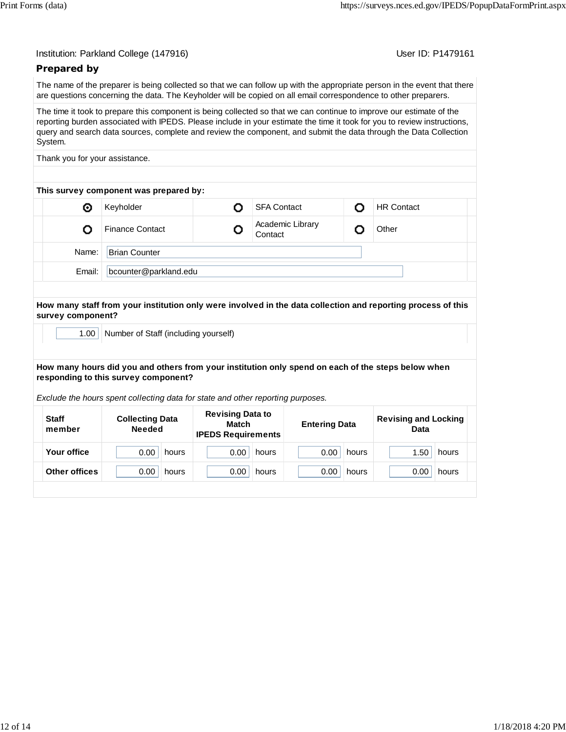User ID: P1479161

## **Prepared by**

The name of the preparer is being collected so that we can follow up with the appropriate person in the event that there are questions concerning the data. The Keyholder will be copied on all email correspondence to other preparers.

The time it took to prepare this component is being collected so that we can continue to improve our estimate of the reporting burden associated with IPEDS. Please include in your estimate the time it took for you to review instructions, query and search data sources, complete and review the component, and submit the data through the Data Collection System.

Thank you for your assistance.

|        | This survey component was prepared by: |                             |                   |  |
|--------|----------------------------------------|-----------------------------|-------------------|--|
| O      | Keyholder                              | <b>SFA Contact</b>          | <b>HR Contact</b> |  |
|        | <b>Finance Contact</b>                 | Academic Library<br>Contact | Other             |  |
| Name:  | <b>Brian Counter</b>                   |                             |                   |  |
| Email: | bcounter@parkland.edu                  |                             |                   |  |
|        |                                        |                             |                   |  |

**How many staff from your institution only were involved in the data collection and reporting process of this survey component?**

1.00 | Number of Staff (including yourself)

### **How many hours did you and others from your institution only spend on each of the steps below when responding to this survey component?**

*Exclude the hours spent collecting data for state and other reporting purposes.*

| <b>Staff</b><br>member | <b>Collecting Data</b><br><b>Needed</b> | <b>Revising Data to</b><br>Match<br><b>IPEDS Requirements</b> | <b>Entering Data</b> | <b>Revising and Locking</b><br>Data |  |
|------------------------|-----------------------------------------|---------------------------------------------------------------|----------------------|-------------------------------------|--|
| Your office            | 0.00                                    | 0.00                                                          | 0.00                 | 1.50                                |  |
|                        | hours                                   | hours                                                         | hours                | hours                               |  |
| <b>Other offices</b>   | 0.00                                    | 0.00                                                          | 0.00                 | 0.00                                |  |
|                        | hours                                   | hours                                                         | hours                | hours                               |  |
|                        |                                         |                                                               |                      |                                     |  |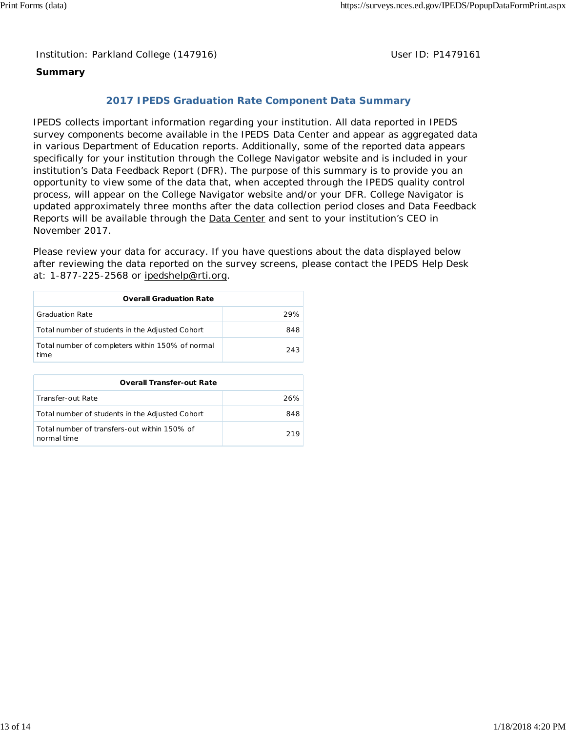Institution: Parkland College (147916) **Distribution: Parkland College (1479161** College College College College College College College College College College College College College College College College College Colle

## **Summary**

## **2017 IPEDS Graduation Rate Component Data Summary**

IPEDS collects important information regarding your institution. All data reported in IPEDS survey components become available in the IPEDS Data Center and appear as aggregated data in various Department of Education reports. Additionally, some of the reported data appears specifically for your institution through the College Navigator website and is included in your institution's Data Feedback Report (DFR). The purpose of this summary is to provide you an opportunity to view some of the data that, when accepted through the IPEDS quality control process, will appear on the College Navigator website and/or your DFR. College Navigator is updated approximately three months after the data collection period closes and Data Feedback Reports will be available through the **Data Center** and sent to your institution's CEO in November 2017.

Please review your data for accuracy. If you have questions about the data displayed below after reviewing the data reported on the survey screens, please contact the IPEDS Help Desk at: 1-877-225-2568 or ipedshelp@rti.org.

| <b>Overall Graduation Rate</b>                           |     |  |  |
|----------------------------------------------------------|-----|--|--|
| <b>Graduation Rate</b>                                   | 29% |  |  |
| Total number of students in the Adjusted Cohort          | 848 |  |  |
| Total number of completers within 150% of normal<br>time | 243 |  |  |

| <b>Overall Transfer-out Rate</b>                            |     |
|-------------------------------------------------------------|-----|
| Transfer-out Rate                                           | 26% |
| Total number of students in the Adjusted Cohort             | 848 |
| Total number of transfers-out within 150% of<br>normal time | 219 |